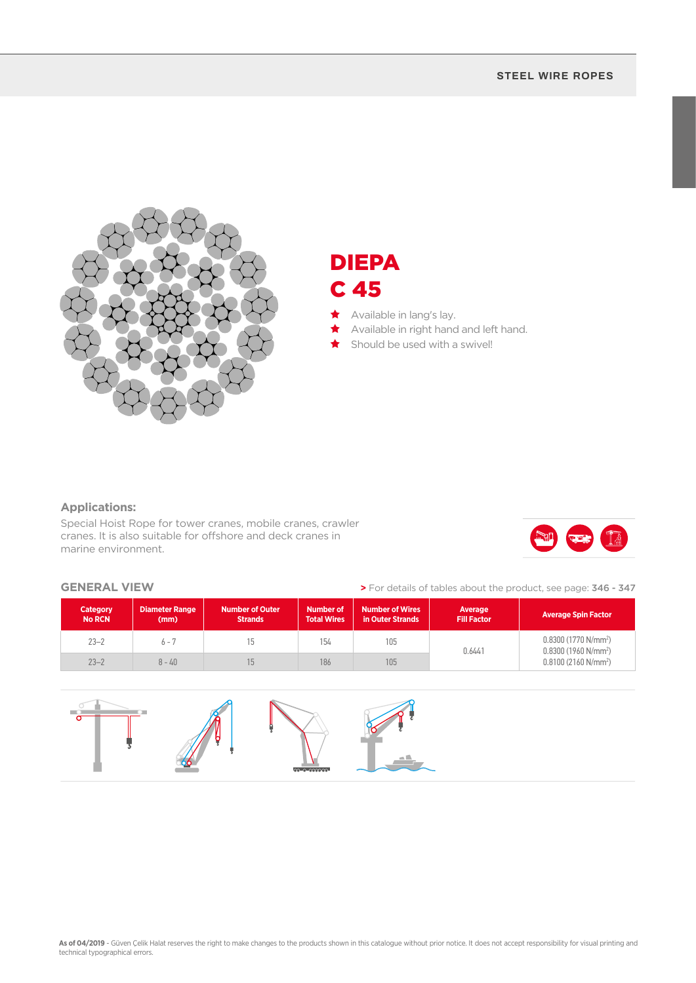#### **STEEL WIRE ROPES**



## DIEPA C 45

- ★ Available in lang's lay.
- Available in right hand and left hand.
- Should be used with a swivel!

### **Applications:**

Special Hoist Rope for tower cranes, mobile cranes, crawler cranes. It is also suitable for offshore and deck cranes in marine environment.



#### **GENERAL VIEW**

**>** For details of tables about the product, see page: 346 - 347

| <b>Category</b><br><b>No RCN</b> | <b>Diameter Range</b><br>(mm) | <b>Number of Outer</b><br><b>Strands</b> | <b>Number of</b><br><b>Total Wires</b> | <b>Number of Wires</b><br>in Outer Strands | Average<br><b>Fill Factor</b> | <b>Average Spin Factor</b>                                              |  |
|----------------------------------|-------------------------------|------------------------------------------|----------------------------------------|--------------------------------------------|-------------------------------|-------------------------------------------------------------------------|--|
| $23 - 2$                         | $6 - 7$                       |                                          | 154                                    | 105                                        | 0.6441                        | $0.8300(1770 N/mm^2)$<br>$0.8300(1960 N/mm^2)$<br>$0.8100(2160 N/mm^2)$ |  |
| $23 - 2$                         | $8 - 40$                      |                                          | 186                                    | 105                                        |                               |                                                                         |  |

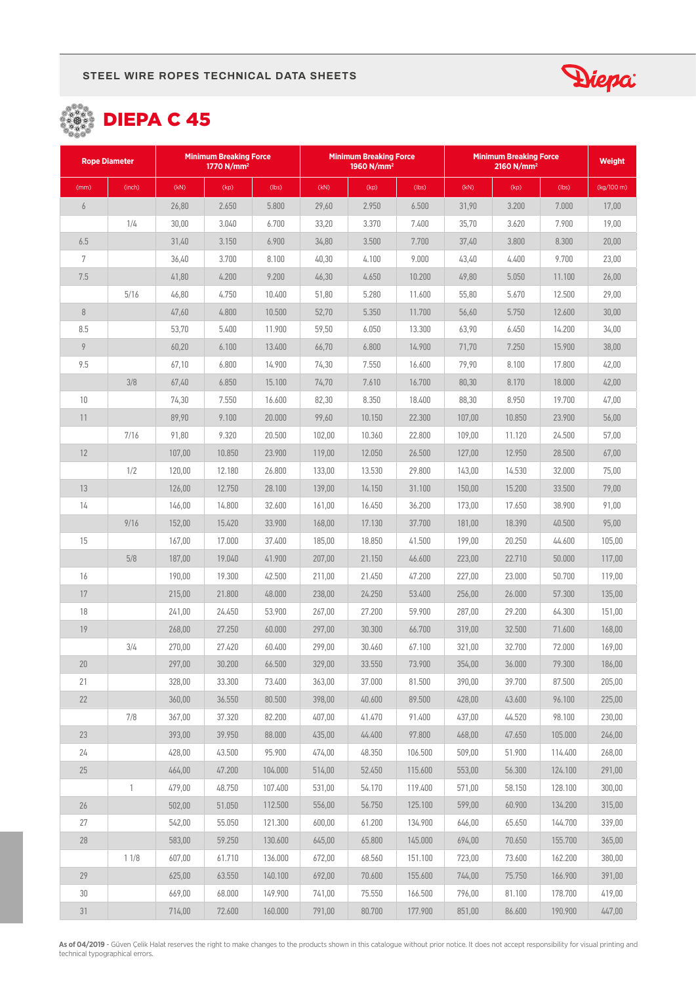





| <b>Rope Diameter</b> |              | <b>Minimum Breaking Force</b><br>1770 $N/mm^2$ |        |         | <b>Minimum Breaking Force</b><br>1960 N/mm <sup>2</sup> |        |         | <b>Minimum Breaking Force</b><br>2160 N/mm <sup>2</sup> |        |         | <b>Weight</b> |
|----------------------|--------------|------------------------------------------------|--------|---------|---------------------------------------------------------|--------|---------|---------------------------------------------------------|--------|---------|---------------|
| (mm)                 | (inch)       | (kN)                                           | (kp)   | (lbs)   | (kN)                                                    | (kp)   | (lbs)   | (KN)                                                    | (kp)   | (lbs)   | (kg/100 m)    |
| $\boldsymbol{6}$     |              | 26,80                                          | 2.650  | 5.800   | 29,60                                                   | 2.950  | 6.500   | 31,90                                                   | 3.200  | 7.000   | 17,00         |
|                      | 1/4          | 30,00                                          | 3.040  | 6.700   | 33,20                                                   | 3.370  | 7.400   | 35,70                                                   | 3.620  | 7.900   | 19,00         |
| 6.5                  |              | 31,40                                          | 3.150  | 6.900   | 34,80                                                   | 3.500  | 7.700   | 37,40                                                   | 3.800  | 8.300   | 20,00         |
| 7                    |              | 36,40                                          | 3.700  | 8.100   | 40,30                                                   | 4.100  | 9.000   | 43,40                                                   | 4.400  | 9.700   | 23,00         |
| $7.5\,$              |              | 41,80                                          | 4.200  | 9.200   | 46,30                                                   | 4.650  | 10.200  | 49,80                                                   | 5.050  | 11.100  | 26,00         |
|                      | 5/16         | 46,80                                          | 4.750  | 10.400  | 51,80                                                   | 5.280  | 11.600  | 55,80                                                   | 5.670  | 12.500  | 29,00         |
| $\, 8$               |              | 47,60                                          | 4.800  | 10.500  | 52,70                                                   | 5.350  | 11.700  | 56,60                                                   | 5.750  | 12.600  | 30,00         |
| 8.5                  |              | 53,70                                          | 5.400  | 11.900  | 59,50                                                   | 6.050  | 13.300  | 63,90                                                   | 6.450  | 14.200  | 34,00         |
| $\overline{9}$       |              | 60,20                                          | 6.100  | 13.400  | 66,70                                                   | 6.800  | 14.900  | 71,70                                                   | 7.250  | 15.900  | 38,00         |
| 9.5                  |              | 67,10                                          | 6.800  | 14.900  | 74,30                                                   | 7.550  | 16.600  | 79,90                                                   | 8.100  | 17.800  | 42,00         |
|                      | 3/8          | 67,40                                          | 6.850  | 15.100  | 74,70                                                   | 7.610  | 16.700  | 80,30                                                   | 8.170  | 18.000  | 42,00         |
| 10                   |              | 74,30                                          | 7.550  | 16.600  | 82,30                                                   | 8.350  | 18.400  | 88,30                                                   | 8.950  | 19.700  | 47,00         |
| 11                   |              | 89,90                                          | 9.100  | 20.000  | 99,60                                                   | 10.150 | 22.300  | 107,00                                                  | 10.850 | 23.900  | 56,00         |
|                      | 7/16         | 91,80                                          | 9.320  | 20.500  | 102,00                                                  | 10.360 | 22.800  | 109,00                                                  | 11.120 | 24.500  | 57,00         |
| 12                   |              | 107,00                                         | 10.850 | 23.900  | 119,00                                                  | 12.050 | 26,500  | 127,00                                                  | 12.950 | 28.500  | 67,00         |
|                      | 1/2          | 120,00                                         | 12.180 | 26.800  | 133,00                                                  | 13.530 | 29.800  | 143,00                                                  | 14.530 | 32.000  | 75,00         |
| 13                   |              | 126,00                                         | 12.750 | 28.100  | 139,00                                                  | 14.150 | 31.100  | 150,00                                                  | 15.200 | 33.500  | 79,00         |
| 14                   |              | 146,00                                         | 14.800 | 32.600  | 161,00                                                  | 16.450 | 36.200  | 173,00                                                  | 17.650 | 38.900  | 91,00         |
|                      | 9/16         | 152,00                                         | 15.420 | 33.900  | 168,00                                                  | 17.130 | 37.700  | 181,00                                                  | 18.390 | 40.500  | 95,00         |
| 15                   |              | 167,00                                         | 17.000 | 37.400  | 185,00                                                  | 18.850 | 41.500  | 199,00                                                  | 20.250 | 44.600  | 105,00        |
|                      | 5/8          | 187,00                                         | 19.040 | 41.900  | 207,00                                                  | 21.150 | 46.600  | 223,00                                                  | 22.710 | 50.000  | 117,00        |
| 16                   |              | 190,00                                         | 19.300 | 42.500  | 211,00                                                  | 21.450 | 47.200  | 227,00                                                  | 23.000 | 50.700  | 119,00        |
| 17                   |              | 215,00                                         | 21.800 | 48.000  | 238,00                                                  | 24.250 | 53.400  | 256,00                                                  | 26.000 | 57.300  | 135,00        |
| 18                   |              | 241,00                                         | 24.450 | 53.900  | 267,00                                                  | 27.200 | 59.900  | 287,00                                                  | 29.200 | 64.300  | 151,00        |
| 19                   |              | 268,00                                         | 27.250 | 60.000  | 297,00                                                  | 30.300 | 66.700  | 319,00                                                  | 32.500 | 71.600  | 168,00        |
|                      | 3/4          | 270,00                                         | 27.420 | 60.400  | 299,00                                                  | 30.460 | 67.100  | 321,00                                                  | 32.700 | 72.000  | 169,00        |
| 20                   |              | 297,00                                         | 30.200 | 66.500  | 329,00                                                  | 33.550 | 73.900  | 354,00                                                  | 36,000 | 79.300  | 186,00        |
| 21                   |              | 328,00                                         | 33.300 | 73.400  | 363,00                                                  | 37.000 | 81.500  | 390,00                                                  | 39.700 | 87.500  | 205,00        |
| 22                   |              | 360,00                                         | 36.550 | 80.500  | 398,00                                                  | 40.600 | 89.500  | 428,00                                                  | 43.600 | 96.100  | 225,00        |
|                      | 7/8          | 367,00                                         | 37.320 | 82.200  | 407,00                                                  | 41.470 | 91.400  | 437,00                                                  | 44.520 | 98.100  | 230,00        |
| 23                   |              | 393,00                                         | 39.950 | 88.000  | 435,00                                                  | 44.400 | 97.800  | 468,00                                                  | 47.650 | 105.000 | 246,00        |
| 24                   |              | 428,00                                         | 43.500 | 95.900  | 474,00                                                  | 48.350 | 106.500 | 509,00                                                  | 51.900 | 114.400 | 268,00        |
| 25                   |              | 464,00                                         | 47.200 | 104.000 | 514,00                                                  | 52.450 | 115.600 | 553,00                                                  | 56.300 | 124.100 | 291,00        |
|                      | $\mathbf{1}$ | 479,00                                         | 48.750 | 107.400 | 531,00                                                  | 54.170 | 119.400 | 571,00                                                  | 58.150 | 128.100 | 300,00        |
| $26\,$               |              | 502,00                                         | 51.050 | 112.500 | 556,00                                                  | 56.750 | 125.100 | 599,00                                                  | 60.900 | 134.200 | 315,00        |
| 27                   |              | 542,00                                         | 55.050 | 121.300 | 600,00                                                  | 61.200 | 134.900 | 646,00                                                  | 65.650 | 144.700 | 339,00        |
| 28                   |              | 583,00                                         | 59.250 | 130.600 | 645,00                                                  | 65.800 | 145.000 | 694,00                                                  | 70.650 | 155.700 | 365,00        |
|                      | 11/8         | 607,00                                         | 61.710 | 136.000 | 672,00                                                  | 68.560 | 151.100 | 723,00                                                  | 73.600 | 162.200 | 380,00        |
| 29                   |              | 625,00                                         | 63.550 | 140.100 | 692,00                                                  | 70.600 | 155.600 | 744,00                                                  | 75.750 | 166.900 | 391,00        |
| 30                   |              | 669,00                                         | 68.000 | 149.900 | 741,00                                                  | 75.550 | 166.500 | 796,00                                                  | 81.100 | 178.700 | 419,00        |
| 31                   |              | 714,00                                         | 72.600 | 160.000 | 791,00                                                  | 80.700 | 177.900 | 851,00                                                  | 86.600 | 190.900 | 447,00        |

**As of 04/2019** - Güven Çelik Halat reserves the right to make changes to the products shown in this catalogue without prior notice. It does not accept responsibility for visual printing and<br>technical typographical errors.